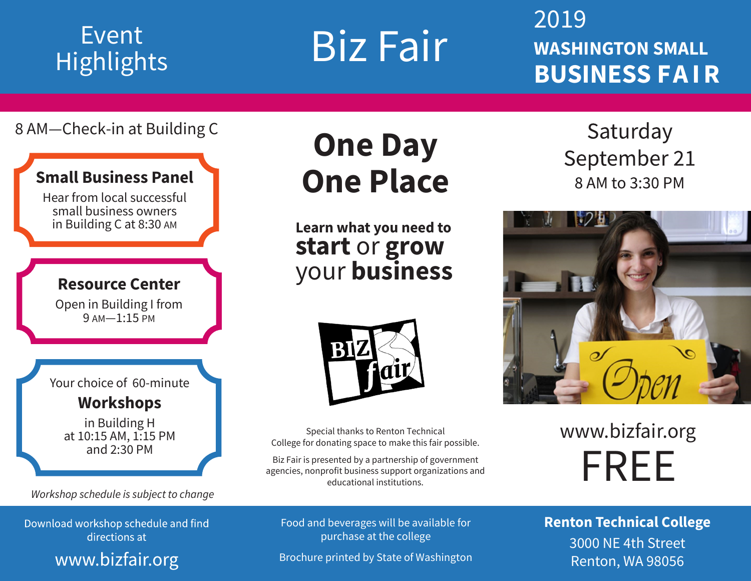# **Highlights**

Event Biz Fair

2019 **WASHINGTON SMALL BUSINESS FA I R**

# 8 AM—Check-in at Building C

# **Small Business Panel**

Hear from local successful small business owners in Building C at 8:30 AM

## **Resource Center**

Open in Building I from 9 AM—1:15 PM

Your choice of 60-minute **Workshops**

in Building H at 10:15 AM, 1:15 PM and 2:30 PM

*Workshop schedule is subject to change*

Download workshop schedule and find<br>directions at

www.bizfair.org

# **One Day One Place**

**Learn what you need to start** or **grow** your **business**



Special thanks to Renton Technical College for donating space to make this fair possible.

Biz Fair is presented by a partnership of government agencies, nonprofit business support organizations and educational institutions.

Food and beverages will be available for purchase at the college

Brochure printed by State of Washington

Saturday September 21 8 AM to 3:30 PM



www.bizfair.org FREE

**Renton Technical College**  3000 NE 4th Street Renton, WA 98056